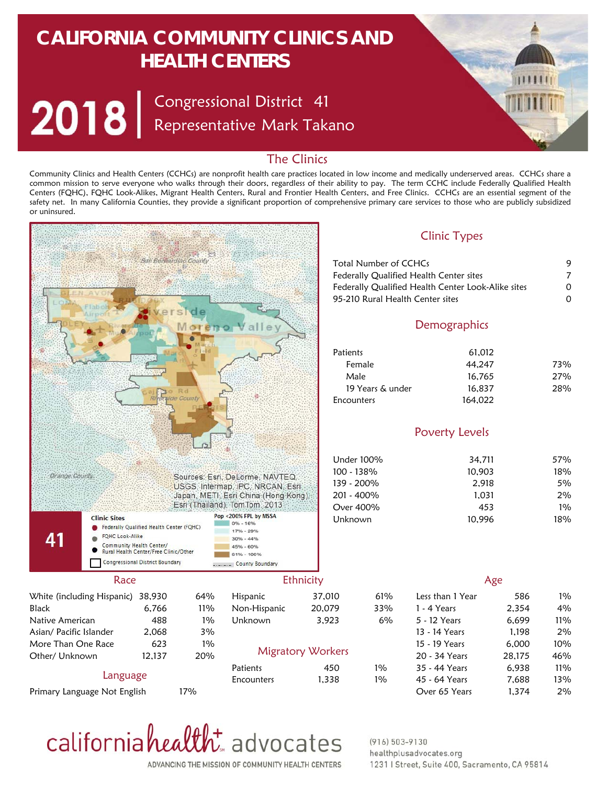## **CALIFORNIA COMMUNITY CLINICS AND HEALTH CENTERS**

Congressional District Representative Mark Takano 41

## The Clinics

Community Clinics and Health Centers (CCHCs) are nonprofit health care practices located in low income and medically underserved areas. CCHCs share a common mission to serve everyone who walks through their doors, regardless of their ability to pay. The term CCHC include Federally Qualified Health Centers (FQHC), FQHC Look-Alikes, Migrant Health Centers, Rural and Frontier Health Centers, and Free Clinics. CCHCs are an essential segment of the safety net. In many California Counties, they provide a significant proportion of comprehensive primary care services to those who are publicly subsidized or uninsured.



californiahealth advocates

 $(916) 503 - 9130$ healthplusadvocates.org 1231 | Street, Suite 400, Sacramento, CA 95814

ADVANCING THE MISSION OF COMMUNITY HEALTH CENTERS